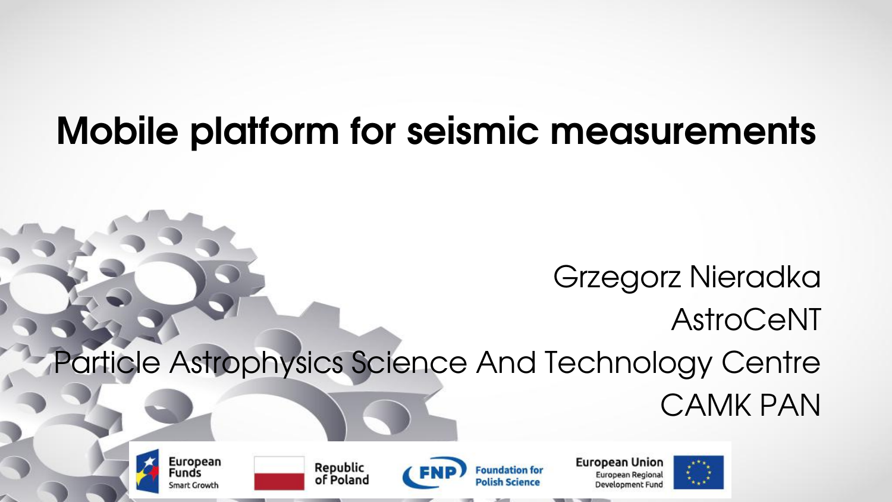# **Mobile platform for seismic measurements**

#### Grzegorz Nieradka AstroCeNT Particle Astrophysics Science And Technology Centre CAMK PAN

**European** Funds **Smart Growth** 

Republic of Poland



**European Union** European Regional Development Fund

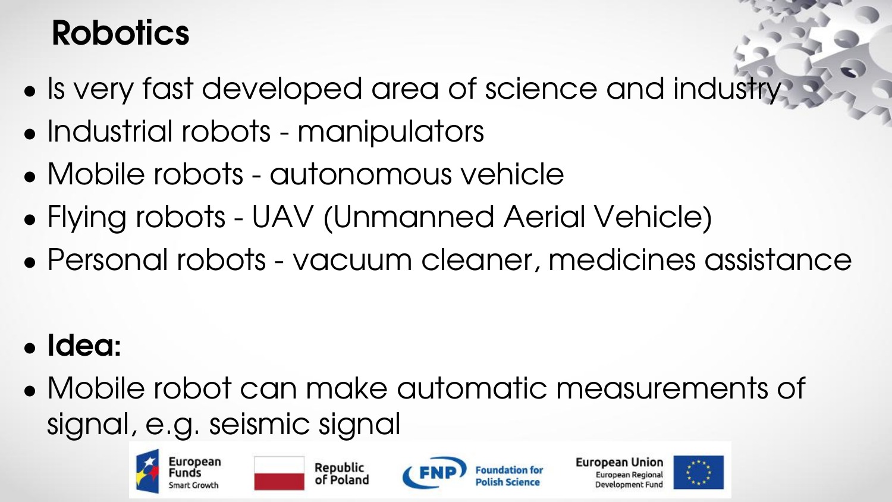### **Robotics**

- Is very fast developed area of science and industry
- Industrial robots manipulators
- Mobile robots autonomous vehicle
- Flying robots UAV (Unmanned Aerial Vehicle)
- Personal robots vacuum cleaner, medicines assistance

- **Idea:**
- Mobile robot can make automatic measurements of signal, e.g. seismic signal







**European Unior** 

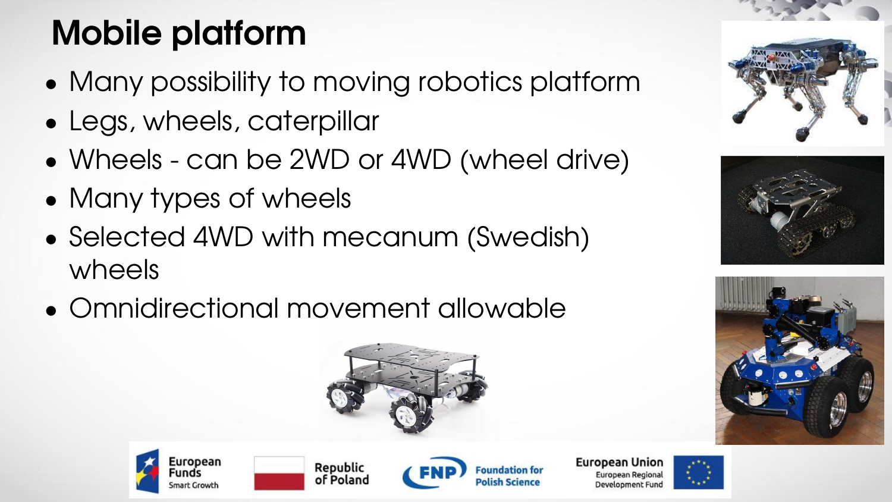# **Mobile platform**

- Many possibility to moving robotics platform
- Legs, wheels, caterpillar
- Wheels can be 2WD or 4WD (wheel drive)
- Many types of wheels
- Selected 4WD with mecanum (Swedish) wheels
- Omnidirectional movement allowable











**European Union** European Regiona Development Fund







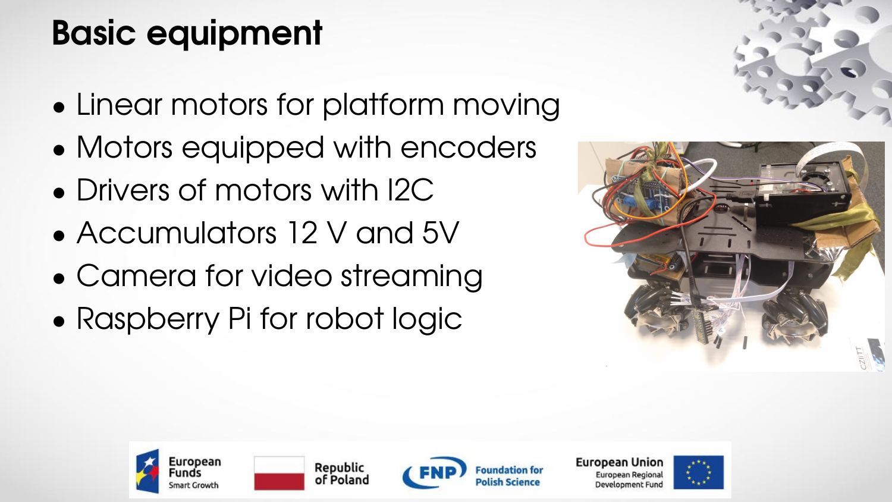## **Basic equipment**

- Linear motors for platform moving
- Motors equipped with encoders
- Drivers of motors with I2C
- Accumulators 12 V and 5V
- Camera for video streaming
- Raspberry Pi for robot logic













**European Union** European Regiona Development Fund

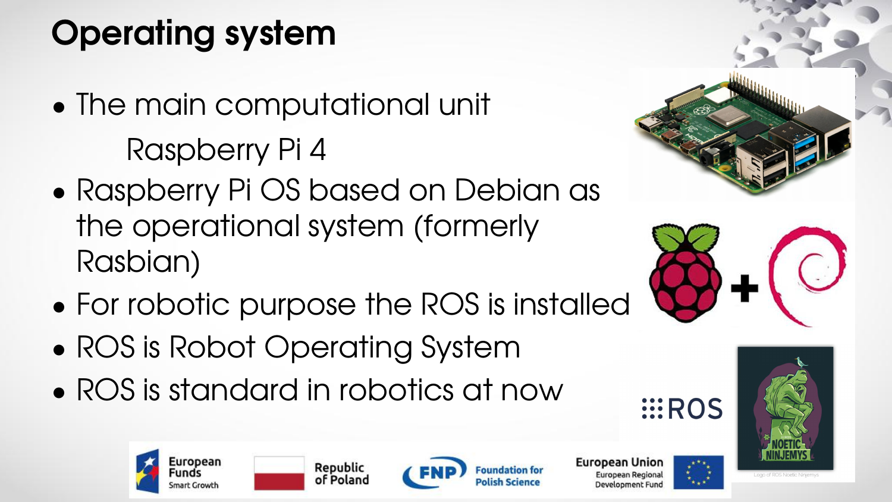# **Operating system**

- The main computational unit Raspberry Pi 4
- Raspberry Pi OS based on Debian as the operational system (formerly Rasbian)
- For robotic purpose the ROS is installed
- ROS is Robot Operating System
- ROS is standard in robotics at now









Republic of Poland



**European Union** European Regiona Development Fun

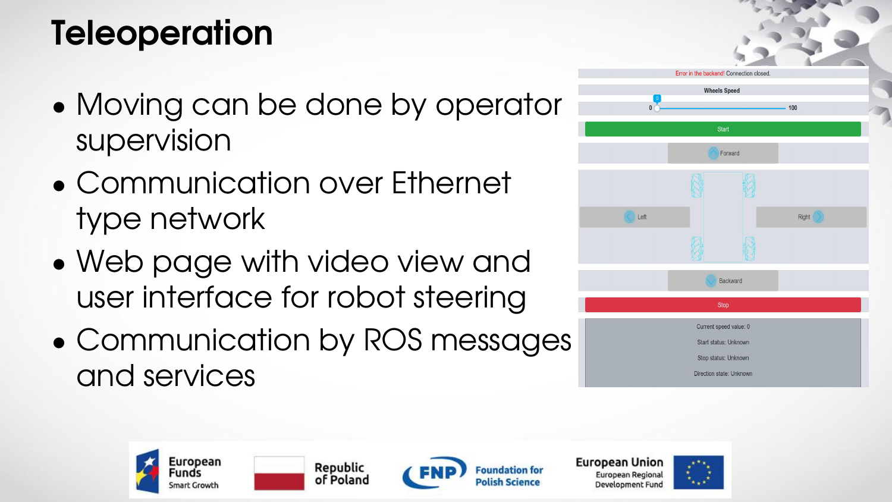### **Teleoperation**

- Moving can be done by operator **the lines of the set of the set of the set of the set of the set of the set of the set of the set of the set of the set of the set of the set of the set of the set of the set of the set of** supervision
- Communication over Ethernet type network
- Web page with video view and user interface for robot steering
- Communication by ROS messages and services











**European Union** European Regional Development Fund

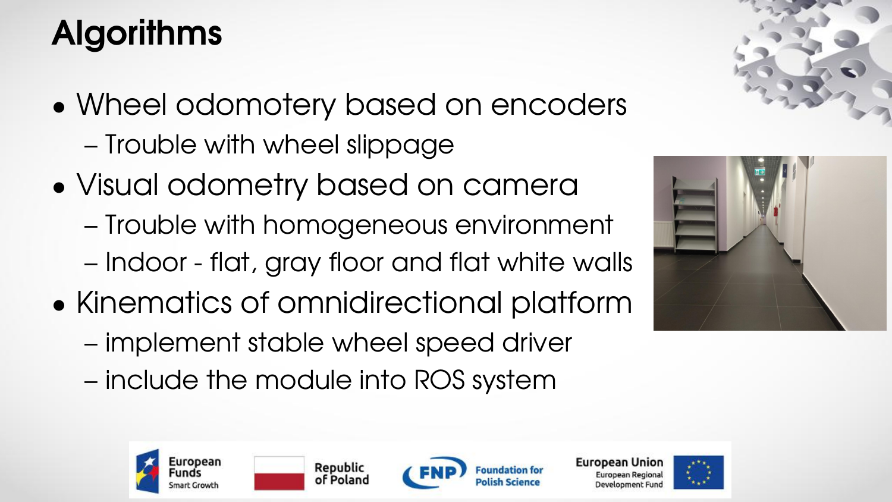# **Algorithms**

- Wheel odomotery based on encoders – Trouble with wheel slippage
- Visual odometry based on camera
	- Trouble with homogeneous environment
	- Indoor flat, gray floor and flat white walls
- Kinematics of omnidirectional platform
	- implement stable wheel speed driver
	- include the module into ROS system







Republic of Poland





**European Union** European Regiona Development Fun

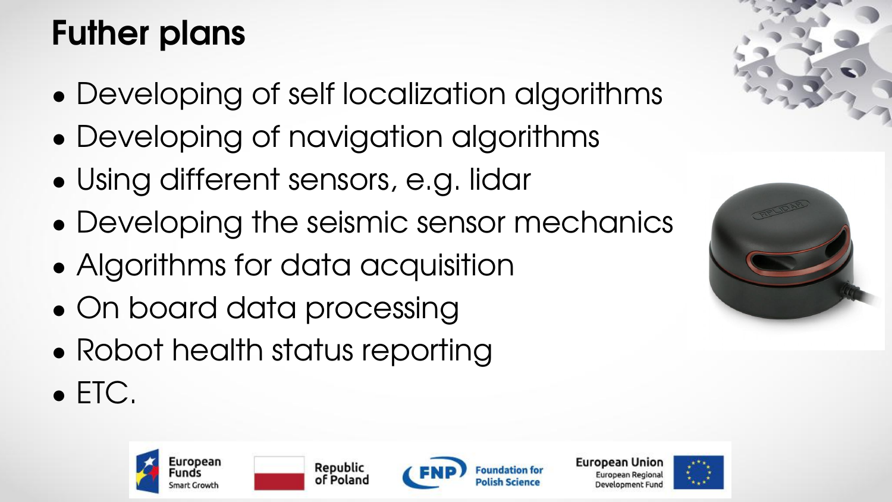### **Futher plans**

- Developing of self localization algorithms
- Developing of navigation algorithms
- Using different sensors, e.g. lidar
- Developing the seismic sensor mechanics
- Algorithms for data acquisition
- On board data processing
- Robot health status reporting
- ETC.







European Union European Regiona Development Fun